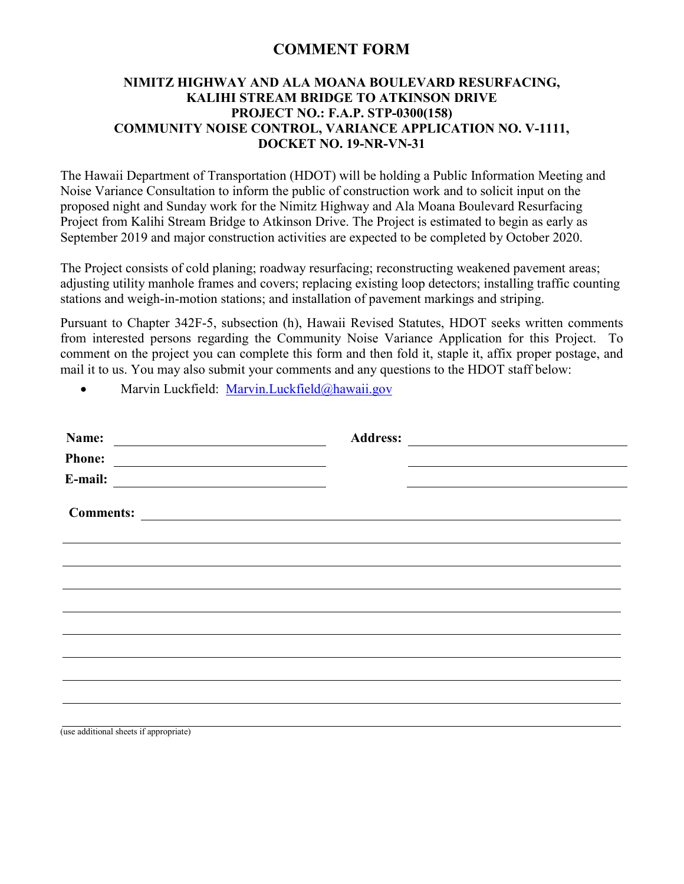## **COMMENT FORM**

## **NIMITZ HIGHWAY AND ALA MOANA BOULEVARD RESURFACING, KALIHI STREAM BRIDGE TO ATKINSON DRIVE PROJECT NO.: F.A.P. STP-0300(158) COMMUNITY NOISE CONTROL, VARIANCE APPLICATION NO. V-1111, DOCKET NO. 19-NR-VN-31**

The Hawaii Department of Transportation (HDOT) will be holding a Public Information Meeting and Noise Variance Consultation to inform the public of construction work and to solicit input on the proposed night and Sunday work for the Nimitz Highway and Ala Moana Boulevard Resurfacing Project from Kalihi Stream Bridge to Atkinson Drive. The Project is estimated to begin as early as September 2019 and major construction activities are expected to be completed by October 2020.

The Project consists of cold planing; roadway resurfacing; reconstructing weakened pavement areas; adjusting utility manhole frames and covers; replacing existing loop detectors; installing traffic counting stations and weigh-in-motion stations; and installation of pavement markings and striping.

Pursuant to Chapter 342F-5, subsection (h), Hawaii Revised Statutes, HDOT seeks written comments from interested persons regarding the Community Noise Variance Application for this Project. To comment on the project you can complete this form and then fold it, staple it, affix proper postage, and mail it to us. You may also submit your comments and any questions to the HDOT staff below:

• Marvin Luckfield: [Marvin.Luckfield@hawaii.gov](mailto:Marvin.Luckfield@Hawaii.gov)

| Name:                                                                                                                                                                                                                                                 | <b>Address:</b><br><u> 1989 - Johann Harry Barn, mars ar breist fan de Fryske kommer</u> |  |
|-------------------------------------------------------------------------------------------------------------------------------------------------------------------------------------------------------------------------------------------------------|------------------------------------------------------------------------------------------|--|
| <b>Phone:</b><br><u> Andreas Andreas Andreas Andreas Andreas Andreas Andreas Andreas Andreas Andreas Andreas Andreas Andreas Andreas Andreas Andreas Andreas Andreas Andreas Andreas Andreas Andreas Andreas Andreas Andreas Andreas Andreas Andr</u> |                                                                                          |  |
| E-mail:<br><u> Alexandria (m. 1888)</u>                                                                                                                                                                                                               |                                                                                          |  |
| <b>Comments:</b><br><u> 1980 - Andrea Albert III, politik fizikar eta idazlea (h. 1980).</u>                                                                                                                                                          |                                                                                          |  |
|                                                                                                                                                                                                                                                       |                                                                                          |  |
|                                                                                                                                                                                                                                                       |                                                                                          |  |
|                                                                                                                                                                                                                                                       |                                                                                          |  |
|                                                                                                                                                                                                                                                       |                                                                                          |  |
|                                                                                                                                                                                                                                                       |                                                                                          |  |
|                                                                                                                                                                                                                                                       |                                                                                          |  |
|                                                                                                                                                                                                                                                       |                                                                                          |  |
|                                                                                                                                                                                                                                                       |                                                                                          |  |
|                                                                                                                                                                                                                                                       |                                                                                          |  |
| (use additional sheets if appropriate)                                                                                                                                                                                                                |                                                                                          |  |